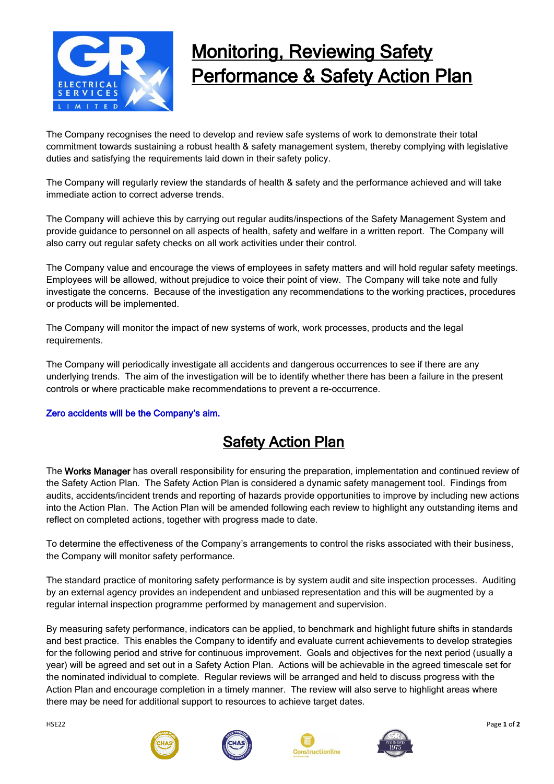

## Monitoring, Reviewing Safety Performance & Safety Action Plan

The Company recognises the need to develop and review safe systems of work to demonstrate their total commitment towards sustaining a robust health & safety management system, thereby complying with legislative duties and satisfying the requirements laid down in their safety policy.

The Company will regularly review the standards of health & safety and the performance achieved and will take immediate action to correct adverse trends.

The Company will achieve this by carrying out regular audits/inspections of the Safety Management System and provide guidance to personnel on all aspects of health, safety and welfare in a written report. The Company will also carry out regular safety checks on all work activities under their control.

The Company value and encourage the views of employees in safety matters and will hold regular safety meetings. Employees will be allowed, without prejudice to voice their point of view. The Company will take note and fully investigate the concerns. Because of the investigation any recommendations to the working practices, procedures or products will be implemented.

The Company will monitor the impact of new systems of work, work processes, products and the legal requirements.

The Company will periodically investigate all accidents and dangerous occurrences to see if there are any underlying trends. The aim of the investigation will be to identify whether there has been a failure in the present controls or where practicable make recommendations to prevent a re-occurrence.

## Zero accidents will be the Company's aim.

## Safety Action Plan

The Works Manager has overall responsibility for ensuring the preparation, implementation and continued review of the Safety Action Plan. The Safety Action Plan is considered a dynamic safety management tool. Findings from audits, accidents/incident trends and reporting of hazards provide opportunities to improve by including new actions into the Action Plan. The Action Plan will be amended following each review to highlight any outstanding items and reflect on completed actions, together with progress made to date.

To determine the effectiveness of the Company's arrangements to control the risks associated with their business, the Company will monitor safety performance.

The standard practice of monitoring safety performance is by system audit and site inspection processes. Auditing by an external agency provides an independent and unbiased representation and this will be augmented by a regular internal inspection programme performed by management and supervision.

By measuring safety performance, indicators can be applied, to benchmark and highlight future shifts in standards and best practice. This enables the Company to identify and evaluate current achievements to develop strategies for the following period and strive for continuous improvement. Goals and objectives for the next period (usually a year) will be agreed and set out in a Safety Action Plan. Actions will be achievable in the agreed timescale set for the nominated individual to complete. Regular reviews will be arranged and held to discuss progress with the Action Plan and encourage completion in a timely manner. The review will also serve to highlight areas where there may be need for additional support to resources to achieve target dates.